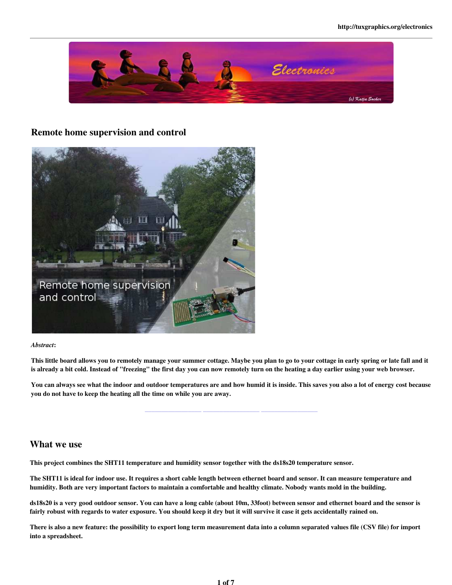

#### Remote home supervision and control



#### *Abstract*:

This little board allows you to remotely manage your summer cottage. Maybe you plan to go to your cottage in early spring or late fall and it is already a bit cold. Instead of "freezing" the first day you can now remotely turn on the heating a day earlier using your web browser.

You can always see what the indoor and outdoor temperatures are and how humid it is inside. This saves you also a lot of energy cost because you do not have to keep the heating all the time on while you are away.

\_\_\_\_\_\_\_\_\_\_\_\_\_\_\_\_\_ \_\_\_\_\_\_\_\_\_\_\_\_\_\_\_\_\_ \_\_\_\_\_\_\_\_\_\_\_\_\_\_\_\_\_

#### What we use

This project combines the SHT11 temperature and humidity sensor together with the ds18s20 temperature sensor.

The SHT11 is ideal for indoor use. It requires a short cable length between ethernet board and sensor. It can measure temperature and humidity. Both are very important factors to maintain a comfortable and healthy climate. Nobody wants mold in the building.

ds18s20 is a very good outdoor sensor. You can have a long cable (about 10m, 33foot) between sensor and ethernet board and the sensor is fairly robust with regards to water exposure. You should keep it dry but it will survive it case it gets accidentally rained on.

There is also a new feature: the possibility to export long term measurement data into a column separated values file (CSV file) for import into a spreadsheet.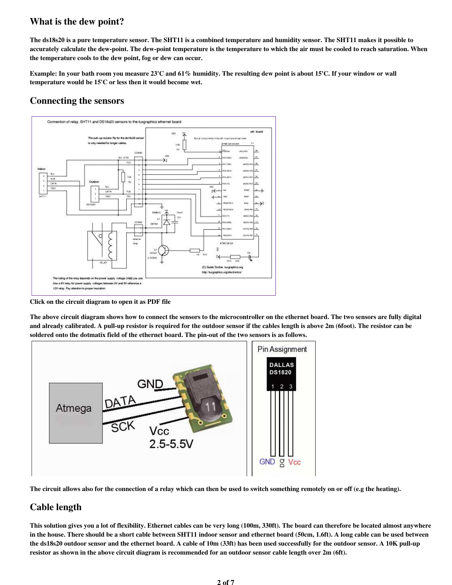## What is the dew point?

The ds18s20 is a pure temperature sensor. The SHT11 is a combined temperature and humidity sensor. The SHT11 makes it possible to accurately calculate the dew-point. The dew-point temperature is the temperature to which the air must be cooled to reach saturation. When the temperature cools to the dew point, fog or dew can occur.

Example: In your bath room you measure 23'C and 61% humidity. The resulting dew point is about 15'C. If your window or wall temperature would be 15'C or less then it would become wet.

# Connecting the sensors



Click on the circuit diagram to open it as PDF file

The above circuit diagram shows how to connect the sensors to the microcontroller on the ethernet board. The two sensors are fully digital and already calibrated. A pull-up resistor is required for the outdoor sensor if the cables length is above 2m (6foot). The resistor can be soldered onto the dotmatix field of the ethernet board. The pin-out of the two sensors is as follows.



The circuit allows also for the connection of a relay which can then be used to switch something remotely on or off (e.g the heating).

# Cable length

This solution gives you a lot of flexibility. Ethernet cables can be very long (100m, 330ft). The board can therefore be located almost anywhere in the house. There should be a short cable between SHT11 indoor sensor and ethernet board (50cm, 1.6ft). A long cable can be used between the ds18s20 outdoor sensor and the ethernet board. A cable of 10m (33ft) has been used successfully for the outdoor sensor. A 10K pull-up resistor as shown in the above circuit diagram is recommended for an outdoor sensor cable length over 2m (6ft).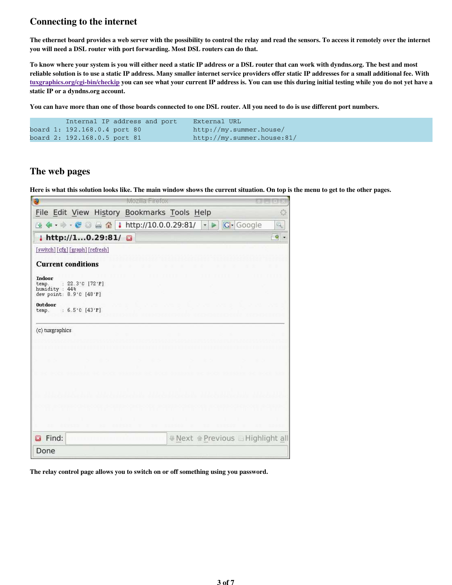## Connecting to the internet

The ethernet board provides a web server with the possibility to control the relay and read the sensors. To access it remotely over the internet you will need a DSL router with port forwarding. Most DSL routers can do that.

To know where your system is you will either need a static IP address or a DSL router that can work with dyndns.org. The best and most reliable solution is to use a static IP address. Many smaller internet service providers offer static IP addresses for a small additional fee. With tuxgraphics.org/cgi-bin/checkip you can see what your current IP address is. You can use this during initial testing while you do not yet have a static IP or a dyndns.org account.

You can have more than one of those boards connected to one DSL router. All you need to do is use different port numbers.

| Internal IP address and port | External URL               |
|------------------------------|----------------------------|
| board 1: 192.168.0.4 port 80 | http://my.summer.house/    |
| board 2: 192.168.0.5 port 81 | http://my.summer.house:81/ |

### The web pages

Here is what this solution looks like. The main window shows the current situation. On top is the menu to get to the other pages.

| Э                                                                                        |                        | Mozilla Firefox                            |                                  |          |           |
|------------------------------------------------------------------------------------------|------------------------|--------------------------------------------|----------------------------------|----------|-----------|
| File Edit View History Bookmarks Tools Help                                              |                        |                                            |                                  |          | 52        |
| 圖<br>⋐<br>一个部分                                                                           | I<br>$-e$ and $\Omega$ | http://10.0.0.29:81/                       | $\overline{\mathbf{v}}$<br>⋗     | G-Google | q.        |
| http://10.29:81/                                                                         |                        | $\mathbf{G}$                               |                                  |          | $\bullet$ |
| [switch][cfg][graph][refresh]                                                            |                        |                                            |                                  |          |           |
| <b>Current conditions</b>                                                                |                        |                                            |                                  |          |           |
| Indoor<br>: $22.3^{\circ}$ C [72'F]<br>temp.<br>humidity: 44%<br>dew point: 8.9'C [48'F] |                        |                                            |                                  |          |           |
| <b>Outdoor</b><br>: $6.5^{\circ}$ C [43'F]<br>temp.                                      |                        |                                            |                                  |          |           |
| (c) tuxgraphics                                                                          |                        |                                            |                                  |          |           |
|                                                                                          |                        |                                            |                                  |          |           |
|                                                                                          |                        |                                            |                                  |          |           |
|                                                                                          |                        |                                            |                                  |          |           |
|                                                                                          |                        |                                            |                                  |          |           |
|                                                                                          |                        |                                            |                                  |          |           |
|                                                                                          |                        |                                            |                                  |          |           |
|                                                                                          |                        |                                            |                                  |          |           |
| mm.                                                                                      |                        |                                            |                                  |          |           |
| Find:                                                                                    |                        | <u> 1989 - Johann John Stone, markin f</u> | ■ Next MPrevious ■ Highlight all |          |           |
| Done                                                                                     |                        |                                            |                                  |          |           |

The relay control page allows you to switch on or off something using you password.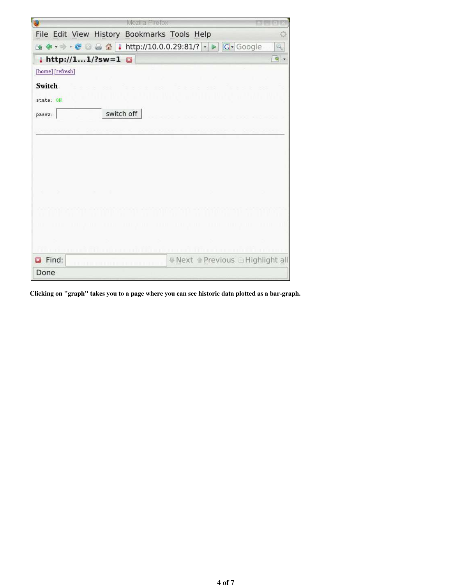| Mozilla Pirefox                                                                                                                                           |  |
|-----------------------------------------------------------------------------------------------------------------------------------------------------------|--|
| File Edit View History Bookmarks Tools Help                                                                                                               |  |
| http://10.0.0.29:81/? -<br><b>G</b> -Google<br>$-e$ and $\triangle$<br>$\mathcal{O}_{\mathbf{c}}$<br>$\triangleright$<br>₩                                |  |
| $\frac{1}{2}$ http://11/?sw=1<br>q<br>G                                                                                                                   |  |
| [home] [refresh]                                                                                                                                          |  |
| Switch                                                                                                                                                    |  |
| state: ON                                                                                                                                                 |  |
| switch off<br>passw:                                                                                                                                      |  |
|                                                                                                                                                           |  |
| <b>Communist Communist Communist Communist Communist Communist Communist Communist Communist Communist Communist</b><br>and and the second control of the |  |
|                                                                                                                                                           |  |
|                                                                                                                                                           |  |
|                                                                                                                                                           |  |
|                                                                                                                                                           |  |
|                                                                                                                                                           |  |
|                                                                                                                                                           |  |
|                                                                                                                                                           |  |
|                                                                                                                                                           |  |
|                                                                                                                                                           |  |
| Find:<br>® Next @ Previous □ Highlight all                                                                                                                |  |
| Done                                                                                                                                                      |  |

Clicking on "graph" takes you to a page where you can see historic data plotted as a bar-graph.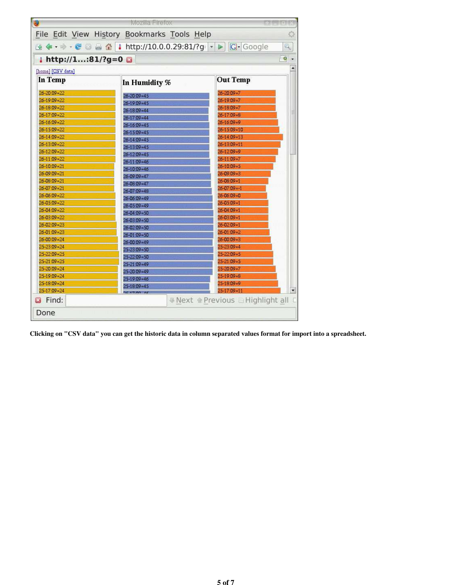| O                                           | Mozilla Firefox   |                                   |   |  |  |  |
|---------------------------------------------|-------------------|-----------------------------------|---|--|--|--|
| File Edit View History Bookmarks Tools Help |                   |                                   | O |  |  |  |
|                                             |                   |                                   |   |  |  |  |
| $i$ http://1:81/?g=0                        |                   |                                   |   |  |  |  |
| [home] [CSV data]                           |                   |                                   |   |  |  |  |
| <b>In Temp</b>                              | In Humidity %     | <b>Out Temp</b>                   |   |  |  |  |
| $26 - 20:09 = 22$                           | $26 - 20.09 = 45$ | $26 - 20:09 = 7$                  |   |  |  |  |
| $26 - 19:09 = 22$                           | $26 - 19:09 = 45$ | $26 - 19:09 = 7$                  |   |  |  |  |
| 26-18:09=22                                 | $26 - 18:09 = 44$ | $26 - 18:09 = 7$                  |   |  |  |  |
| $26 - 17.09 = 22$                           | $26 - 17.09 = 44$ | $26 - 17:09 = 8$                  |   |  |  |  |
| $26 - 16.09 = 22$                           | $26 - 16.09 = 45$ | $26 - 16.09 = 9$                  |   |  |  |  |
| $26 - 15:09 = 22$                           | $26 - 15.09 = 45$ | $26 - 15:09 = 10$                 |   |  |  |  |
| 26-14:09=22                                 | $26 - 14.09 = 45$ | $26 - 14.09 = 13$                 |   |  |  |  |
| 26-13:09=22                                 | $26 - 13:09 = 45$ | $26 - 13.09 = 11$                 |   |  |  |  |
| $26 - 12.09 = 22$                           | $26 - 12:09 = 45$ | $26 - 12.09 = 9$                  |   |  |  |  |
| $26 - 11.09 = 22$                           | $26 - 1109 = 46$  | $26 - 11:09 = 7$                  |   |  |  |  |
| 26-10:09=21                                 | $26 - 10.09 = 46$ | $26 - 10.09 = 5$                  |   |  |  |  |
| $26 - 09:09 = 21$                           | $26 - 09.09 = 47$ | $26 - 09:09 = 3$                  |   |  |  |  |
| $26 - 08:09 = 21$                           | $26 - 08:09 = 47$ | $26 - 08:09 = 1$                  |   |  |  |  |
| $26 - 07.09 = 21$                           | $26 - 07:09 = 48$ | $26 - 07:09 = -1$                 |   |  |  |  |
| 26-06:09=22                                 | 26-06:09=49       | $26 - 06:09 = 0$                  |   |  |  |  |
| $26 - 05.09 = 22$                           | $26 - 05.09 = 49$ | $26 - 05.09 = 1$                  |   |  |  |  |
| $26 - 04:09 = 22$                           | $26 - 04.09 = 50$ | $26 - 04:09 = 1$                  |   |  |  |  |
| $26 - 03:09 = 22$                           | $26 - 03.09 = 50$ | $26 - 03.09 = 1$                  |   |  |  |  |
| 26-02:09=23                                 | $26 - 02.09 = 50$ | 26-02:09=1                        |   |  |  |  |
| $26 - 01:09 = 23$                           | $26 - 01.09 = 50$ | $26 - 01:09 = 2$                  |   |  |  |  |
| $26 - 00:09 = 24$                           | $26 - 00.09 = 49$ | $26 - 00:09 = 3$                  |   |  |  |  |
| $25 - 23.09 = 24$                           | $25 - 23.09 = 50$ | $25 - 23.09 = 4$                  |   |  |  |  |
| $25 - 22.09 = 25$                           | $25 - 22:09 = 50$ | $25 - 22:09 = 5$                  |   |  |  |  |
| $25 - 21:09 = 25$                           | $25 - 21.09 = 49$ | $25 - 21.09 = 5$                  |   |  |  |  |
| $25 - 20.09 = 24$                           | $25 - 20:09 = 49$ | $25 - 20.09 = 7$                  |   |  |  |  |
| $25 - 19:09 = 24$                           | $25 - 19:09 = 46$ | $25 - 19:09 = 8$                  |   |  |  |  |
| $25 - 18:09 = 24$                           | $25 - 18:09 = 45$ | $25 - 18:09 = 9$                  |   |  |  |  |
| $25 - 17.09 = 24$                           |                   | $25 - 17.09 = 11$                 |   |  |  |  |
| Find:                                       |                   | ■ Next · Previous ■ Highlight all |   |  |  |  |
| Done                                        |                   |                                   |   |  |  |  |

Clicking on "CSV data" you can get the historic data in column separated values format for import into a spreadsheet.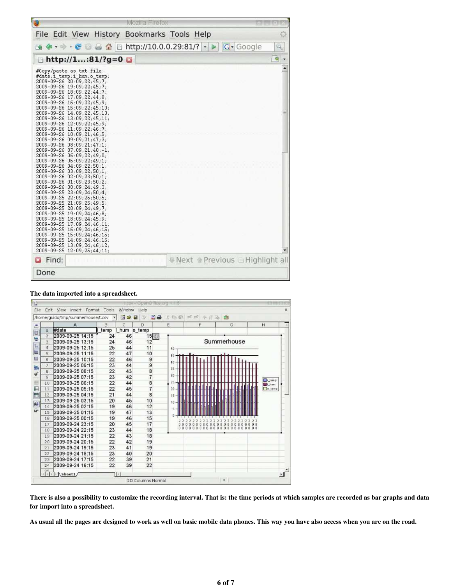|                                                                                                                                                                                                                                                                                                                                                                                                                                                                                                                                                                                                                                                                                                                                                                                                                                                                                                                                                                             | Mozilia Firefox                                |          |
|-----------------------------------------------------------------------------------------------------------------------------------------------------------------------------------------------------------------------------------------------------------------------------------------------------------------------------------------------------------------------------------------------------------------------------------------------------------------------------------------------------------------------------------------------------------------------------------------------------------------------------------------------------------------------------------------------------------------------------------------------------------------------------------------------------------------------------------------------------------------------------------------------------------------------------------------------------------------------------|------------------------------------------------|----------|
|                                                                                                                                                                                                                                                                                                                                                                                                                                                                                                                                                                                                                                                                                                                                                                                                                                                                                                                                                                             | File Edit View History Bookmarks Tools Help    | o        |
| <b>ER</b><br>لنعتم<br>B                                                                                                                                                                                                                                                                                                                                                                                                                                                                                                                                                                                                                                                                                                                                                                                                                                                                                                                                                     | G Google<br>http://10.0.0.29:81/?<br>$\bullet$ | Q.       |
| http://1:81/?g=0                                                                                                                                                                                                                                                                                                                                                                                                                                                                                                                                                                                                                                                                                                                                                                                                                                                                                                                                                            |                                                | <b>Q</b> |
| #Copy/paste as txt file:<br>#date;i temp;i hum;o temp;<br>2009-09-26 20:09;22;45;7;<br>2009-09-26 19:09;22;45;7;<br>2009-09-26 18:09;22;44;7;<br>2009-09-26 17:09;22;44;8;<br>2009-09-26 16:09;22;45;9;<br>2009-09-26 15:09;22;45;10;<br>2009-09-26 14:09;22;45;13;<br>2009-09-26 13:09;22;45;11;<br>2009-09-26 12:09;22;45;9;<br>2009-09-26 11:09;22;46;7;<br>2009-09-26 10:09;21;46;5;<br>2009-09-26 09:09;21;47;3;<br>2009-09-26 08:09;21;47;1;<br>2009-09-26 07:09;21;48;-1;<br>2009-09-26 06:09;22;49;0;<br>2009-09-26 05:09;22;49;1;<br>2009-09-26 04:09;22;50;1;<br>$2009 - 09 - 26$ $03:09;22;50;1;$<br>2009-09-26 02:09;23;50;1;<br>2009-09-26 01:09;23;50;2;<br>2009-09-26 00:09;24;49;3;<br>2009-09-25 23:09;24;50;4;<br>2009-09-25 22:09;25;50;5;<br>2009-09-25 21:09;25;49;5;<br>2009-09-25 20:09;24;49;7;<br>2009-09-25 19:09;24;46;8;<br>2009-09-25 18:09;24;45;9;<br>2009-09-25 17:09;24;46;11;<br>2009-09-25 16:09;24;46;15;<br>2009-09-25 15:09;24;46;15; |                                                | Ë        |
| 2009-09-25 14:09;24;46;15;<br>2009-09-25 13:09;24;46;12;<br>2009-09-25 12:09;25;44;11;                                                                                                                                                                                                                                                                                                                                                                                                                                                                                                                                                                                                                                                                                                                                                                                                                                                                                      |                                                |          |
| Find:<br><u> 1989 - Johann Harry Harry Harry Harry Harry Harry Harry Harry Harry Harry Harry Harry Harry Harry Harry Harry Harry Harry Harry Harry Harry Harry Harry Harry Harry Harry Harry Harry Harry Harry Harry Harry Harry Harry Ha</u>                                                                                                                                                                                                                                                                                                                                                                                                                                                                                                                                                                                                                                                                                                                               | A Next @ Previous □ Highlight all              |          |
| Done                                                                                                                                                                                                                                                                                                                                                                                                                                                                                                                                                                                                                                                                                                                                                                                                                                                                                                                                                                        |                                                |          |

#### The data imported into a spreadsheet.

| g    |                |                                   |       |         | way - Openoffice.org + 15 |        |                                                                        |                                                      |                 |   |
|------|----------------|-----------------------------------|-------|---------|---------------------------|--------|------------------------------------------------------------------------|------------------------------------------------------|-----------------|---|
| File | Edit           | View<br>Format<br>Insert          | Tools | Window  | Help                      |        |                                                                        |                                                      |                 | × |
|      |                | /home/guido/tmp/summerhouse/t.csv |       | 面<br>æ, | 圖<br>$\triangleq$<br>国    | Y 48 @ | $= 5 + 4$<br>北险                                                        | ŵ                                                    |                 |   |
| βC.  |                | $\mathsf{A}$                      | B     | C       | Ď                         | Ë      | F.                                                                     | G                                                    | H               |   |
| a    | 1              | #date                             | temp  | hum     | o temp                    |        |                                                                        |                                                      |                 |   |
| 쁖    | $\overline{2}$ | 2009-09-25 14:15                  | 24    | 46      | 15 ①                      |        |                                                                        |                                                      |                 |   |
|      | 3              | 2009-09-25 13:15                  | 24    | 46      | 12                        |        |                                                                        | Summerhouse                                          |                 |   |
| ł    | 4              | 2009-09-25 12:15                  | 25    | 44      | 11                        | 50     |                                                                        |                                                      |                 |   |
| E    | 5              | 2009-09-25 11:15                  | 22    | 47      | 10                        | 45     |                                                                        |                                                      |                 |   |
| Ш    | 6              | 2009-09-25 10:15                  | 22    | 46      | 9                         | 40     |                                                                        |                                                      |                 |   |
| 品    | 7              | 2009-09-25 09:15                  | 23    | 44      | 9                         | 35     |                                                                        |                                                      |                 |   |
| œ    | B              | 2009-09-25 08:15                  | 22    | 43      | 8                         |        |                                                                        |                                                      |                 |   |
|      | $\mathbf{Q}$   | 2009-09-25 07:15                  | 23    | 42      | $\overline{7}$            | 30     |                                                                        |                                                      | Liemp           |   |
| 福    | 10             | 2009-09-25 06:15                  | 22    | 44      | 8                         | 25     |                                                                        |                                                      | <b>Bill</b> hum |   |
| 囯    | 11             | 2009-09-25 05:15                  | 22    | 45      | $\overline{7}$            | 20     |                                                                        |                                                      | o temp          |   |
| 団    | 12             | 2009-09-25 04:15                  | 21    | 44      | 8                         | $15 -$ |                                                                        |                                                      |                 |   |
| At   | 13             | 2009-09-25 03:15                  | 20    | 45      | 10                        | $10 -$ |                                                                        |                                                      |                 |   |
|      | 14             | 2009-09-25 02:15                  | 19    | 46      | 12                        | 5      |                                                                        |                                                      |                 |   |
| īψ.  | 15             | 2009-09-25 01:15                  | 19    | 47      | 13                        |        |                                                                        |                                                      |                 |   |
|      | 16             | 2009-09-25 00:15                  | 19    | 46      | 15                        |        |                                                                        |                                                      |                 |   |
|      | 17             | 2009-09-24 23:15                  | 20    | 45      | 17                        |        | O<br>ø<br>ö<br>Ü<br>ö<br>ö<br>0                                        | ö<br>o<br>o                                          |                 |   |
|      | 18             | 2009-09-24 22:15                  | 23    | 44      | 18                        |        | <b>D</b><br>$\alpha$<br>0 <sub>0</sub><br>$\Omega$<br>n<br>o<br>o<br>a | n<br>$\Omega$<br>$\alpha$<br>o<br>a<br>n.<br>Đ.<br>o | 0000            |   |
|      | 19             | 2009-09-24 21:15                  | 22    | 43      | 18                        |        |                                                                        |                                                      |                 |   |
|      | 20             | 2009-09-24 20:15                  | 22    | 42      | 19                        |        |                                                                        |                                                      |                 |   |
|      | 21             | 2009-09-24 19:15                  | 23    | 41      | 19                        |        |                                                                        |                                                      |                 |   |
|      | 22             | 2009-09-24 18:15                  | 23    | 40      | 20                        |        |                                                                        |                                                      |                 |   |
|      | 23             | 2009-09-24 17:15                  | 22    | 39      | 21                        |        |                                                                        |                                                      |                 |   |
|      | 24             | 2009-09-24 16:15                  | 22    | 39      | 22                        |        |                                                                        |                                                      |                 |   |
|      | うら<br>4141     | $\wedge$ Sheet1                   |       |         |                           |        |                                                                        |                                                      |                 |   |
|      |                |                                   |       |         | 2D Columns Normal         |        |                                                                        | 朱                                                    |                 |   |

There is also a possibility to customize the recording interval. That is: the time periods at which samples are recorded as bar graphs and data for import into a spreadsheet.

As usual all the pages are designed to work as well on basic mobile data phones. This way you have also access when you are on the road.